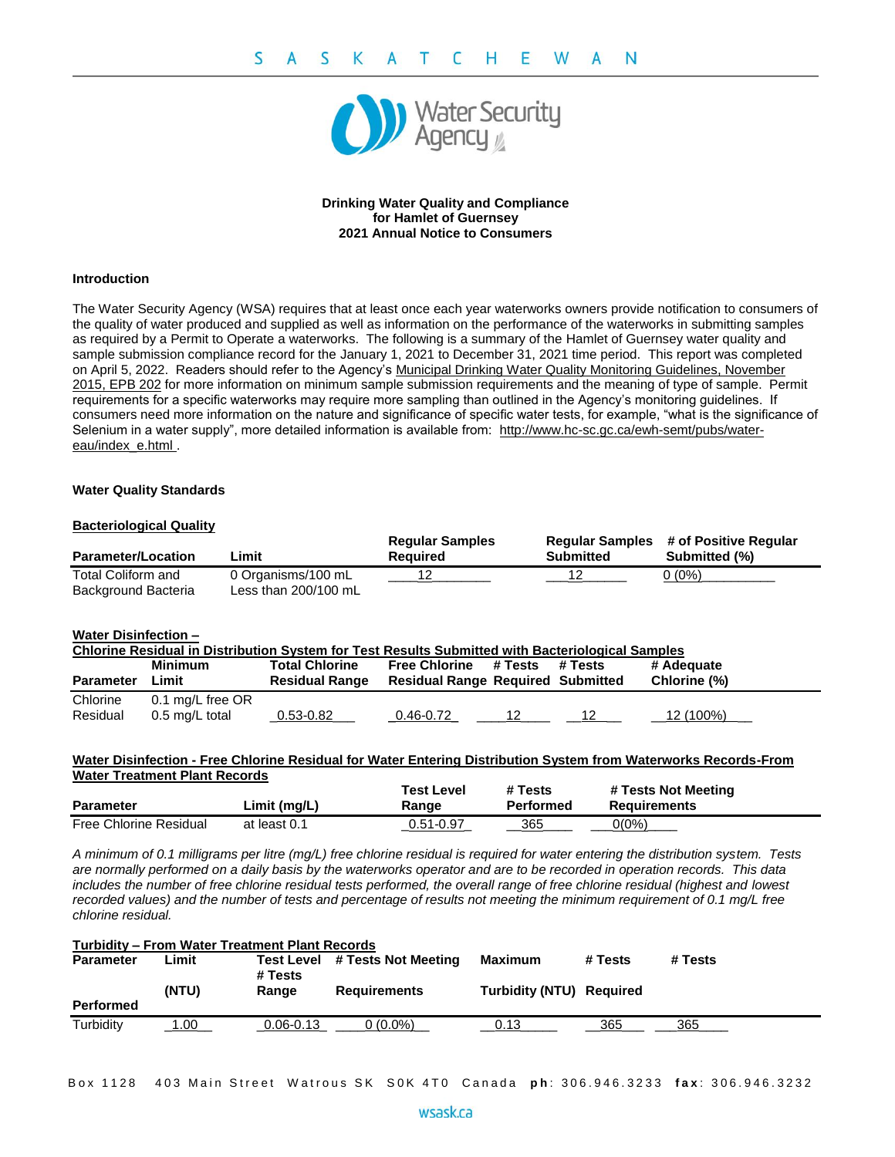

# **Drinking Water Quality and Compliance for Hamlet of Guernsey 2021 Annual Notice to Consumers**

## **Introduction**

The Water Security Agency (WSA) requires that at least once each year waterworks owners provide notification to consumers of the quality of water produced and supplied as well as information on the performance of the waterworks in submitting samples as required by a Permit to Operate a waterworks. The following is a summary of the Hamlet of Guernsey water quality and sample submission compliance record for the January 1, 2021 to December 31, 2021 time period. This report was completed on April 5, 2022. Readers should refer to the Agency's Municipal Drinking Water Quality Monitoring Guidelines, November 2015, EPB 202 for more information on minimum sample submission requirements and the meaning of type of sample. Permit requirements for a specific waterworks may require more sampling than outlined in the Agency's monitoring guidelines. If consumers need more information on the nature and significance of specific water tests, for example, "what is the significance of Selenium in a water supply", more detailed information is available from: [http://www.hc-sc.gc.ca/ewh-semt/pubs/water](http://www.hc-sc.gc.ca/ewh-semt/pubs/water-eau/index_e.html)[eau/index\\_e.html](http://www.hc-sc.gc.ca/ewh-semt/pubs/water-eau/index_e.html) .

## **Water Quality Standards**

## **Bacteriological Quality**

| <b>Parameter/Location</b>                 | Limit                                      | <b>Regular Samples</b><br>Reauired | Submitted | <b>Regular Samples # of Positive Regular</b><br>Submitted (%) |
|-------------------------------------------|--------------------------------------------|------------------------------------|-----------|---------------------------------------------------------------|
| Total Coliform and<br>Background Bacteria | 0 Organisms/100 mL<br>Less than 200/100 mL |                                    |           | 0 (0%)                                                        |

## **Water Disinfection –**

| Chlorine Residual in Distribution System for Test Results Submitted with Bacteriological Samples |                  |                                                |                                                                  |         |         |                            |  |
|--------------------------------------------------------------------------------------------------|------------------|------------------------------------------------|------------------------------------------------------------------|---------|---------|----------------------------|--|
| <b>Parameter</b>                                                                                 | Minimum<br>∟imit | <b>Total Chlorine</b><br><b>Residual Range</b> | <b>Free Chlorine</b><br><b>Residual Range Required Submitted</b> | # Tests | # Tests | # Adequate<br>Chlorine (%) |  |
| Chlorine                                                                                         | 0.1 mg/L free OR |                                                |                                                                  |         |         |                            |  |
| Residual                                                                                         | 0.5 mg/L total   | 0.53-0.82                                      | 0.46-0.72                                                        |         |         | 12 (100%)                  |  |

## **Water Disinfection - Free Chlorine Residual for Water Entering Distribution System from Waterworks Records-From Water Treatment Plant Records**

|                               |              | Test Level    | # Tests   | # Tests Not Meeting |
|-------------------------------|--------------|---------------|-----------|---------------------|
| <b>Parameter</b>              | Limit (mg/L) | Range         | Performed | <b>Requirements</b> |
| <b>Free Chlorine Residual</b> | at least 0.1 | $0.51 - 0.97$ | 365       | 0(0%)               |

*A minimum of 0.1 milligrams per litre (mg/L) free chlorine residual is required for water entering the distribution system. Tests are normally performed on a daily basis by the waterworks operator and are to be recorded in operation records. This data includes the number of free chlorine residual tests performed, the overall range of free chlorine residual (highest and lowest recorded values) and the number of tests and percentage of results not meeting the minimum requirement of 0.1 mg/L free chlorine residual.*

| <b>Turbidity - From Water Treatment Plant Records</b> |       |               |                                |                          |         |         |  |
|-------------------------------------------------------|-------|---------------|--------------------------------|--------------------------|---------|---------|--|
| <b>Parameter</b>                                      | Limit | # Tests       | Test Level # Tests Not Meeting | Maximum                  | # Tests | # Tests |  |
|                                                       | (NTU) | Range         | <b>Requirements</b>            | Turbidity (NTU) Required |         |         |  |
| <b>Performed</b>                                      |       |               |                                |                          |         |         |  |
| Turbidity                                             | .00.  | $0.06 - 0.13$ | $0(0.0\%)$                     | 0.13                     | 365     | 365     |  |

Box 1128 403 Main Street Watrous SK S0K 4T0 Canada ph: 306.946.3233 fax: 306.946.3232